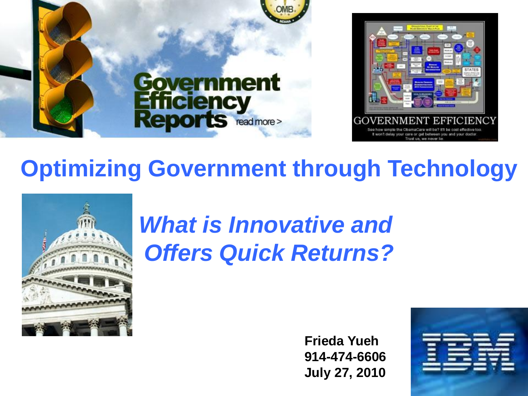

### **Optimizing Government through Technology**



## *What is Innovative and Offers Quick Returns?*

**Frieda Yueh 914-474-6606 July 27, 2010**

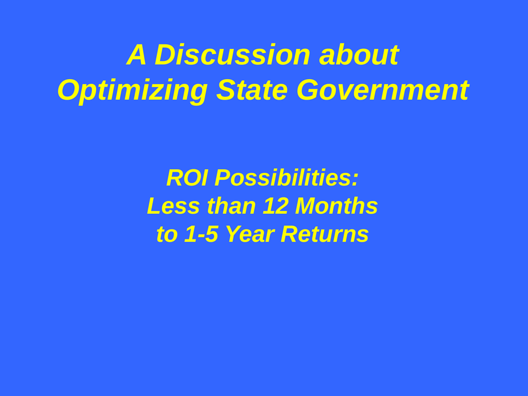# *A Discussion about Optimizing State Government*

*ROI Possibilities: Less than 12 Months to 1-5 Year Returns*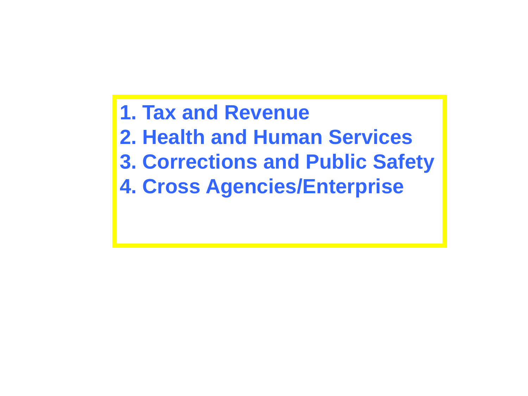**1. Tax and Revenue 2. Health and Human Services 3. Corrections and Public Safety 4. Cross Agencies/Enterprise**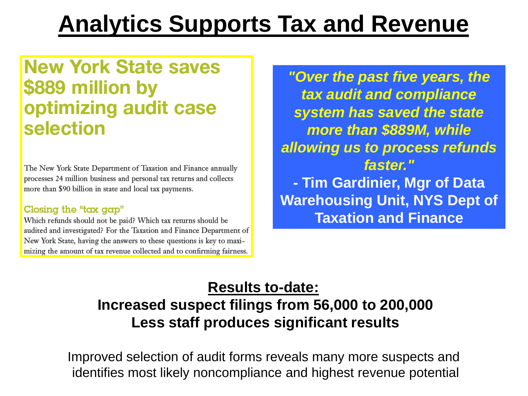## **Analytics Supports Tax and Revenue**

### **New York State saves** \$889 million by optimizing audit case selection

The New York State Department of Taxation and Finance annually processes 24 million business and personal tax returns and collects more than \$90 billion in state and local tax payments.

#### Closing the "tax gap"

Which refunds should not be paid? Which tax returns should be audited and investigated? For the Taxation and Finance Department of New York State, having the answers to these questions is key to maximizing the amount of tax revenue collected and to confirming fairness.

*"Over the past five years, the tax audit and compliance system has saved the state more than \$889M, while allowing us to process refunds faster."* **- Tim Gardinier, Mgr of Data Warehousing Unit, NYS Dept of Taxation and Finance**

#### **Results to-date: Increased suspect filings from 56,000 to 200,000 Less staff produces significant results**

Improved selection of audit forms reveals many more suspects and identifies most likely noncompliance and highest revenue potential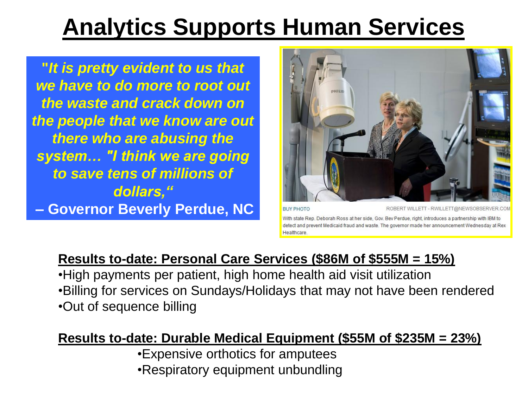## **Analytics Supports Human Services**

**"***It is pretty evident to us that we have to do more to root out the waste and crack down on the people that we know are out there who are abusing the system… "I think we are going to save tens of millions of dollars,"* **– Governor Beverly Perdue, NC**



With state Rep. Deborah Ross at her side, Gov. Bev Perdue, right, introduces a partnership with IBM to detect and prevent Medicaid fraud and waste. The governor made her announcement Healthcare

#### **Results to-date: Personal Care Services (\$86M of \$555M = 15%)**

•High payments per patient, high home health aid visit utilization •Billing for services on Sundays/Holidays that may not have been rendered •Out of sequence billing

#### **Results to-date: Durable Medical Equipment (\$55M of \$235M = 23%)**

•Expensive orthotics for amputees •Respiratory equipment unbundling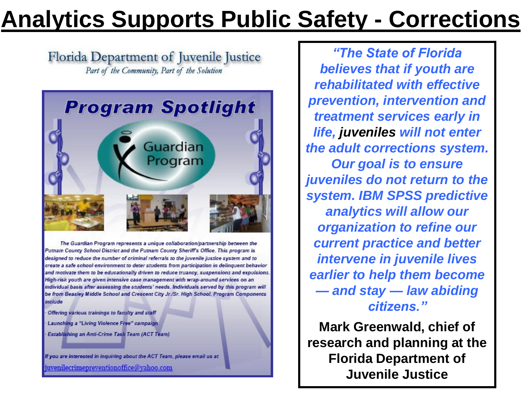## **Analytics Supports Public Safety - Corrections**

Florida Department of Juvenile Justice Part of the Community, Part of the Solution



The Guardian Program represents a unique collaboration/partnership between the Putnam County School District and the Putnam County Sheriff's Office. This program is designed to reduce the number of criminal referrals to the juvenile justice system and to create a safe school environment to deter students from participation in delinquent behavior and motivate them to be educationally driven to reduce truancy, suspensions and expulsions. High-risk youth are given intensive case management with wrap-around services on an individual basis after assessing the students' needs. Individuals served by this program will be from Beasley Middle School and Crescent City Jr./Sr. High School. Program Components include

Offering various trainings to faculty and staff Launching a "Living Violence Free" campaign Establishing an Anti-Crime Task Team (ACT Team)

If you are interested in inquiring about the ACT Team, please email us at juvenilecrimepreventionoffice@vahoo.com

*"The State of Florida believes that if youth are rehabilitated with effective prevention, intervention and treatment services early in life, juveniles will not enter the adult corrections system. Our goal is to ensure juveniles do not return to the system. IBM SPSS predictive analytics will allow our organization to refine our current practice and better intervene in juvenile lives earlier to help them become — and stay — law abiding citizens."*

**Mark Greenwald, chief of research and planning at the Florida Department of Juvenile Justice**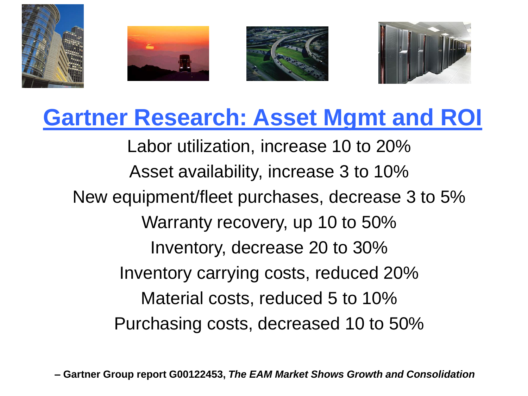

### **Gartner Research: Asset Mgmt and ROI**

Labor utilization, increase 10 to 20% Asset availability, increase 3 to 10% New equipment/fleet purchases, decrease 3 to 5% Warranty recovery, up 10 to 50% Inventory, decrease 20 to 30% Inventory carrying costs, reduced 20% Material costs, reduced 5 to 10% Purchasing costs, decreased 10 to 50%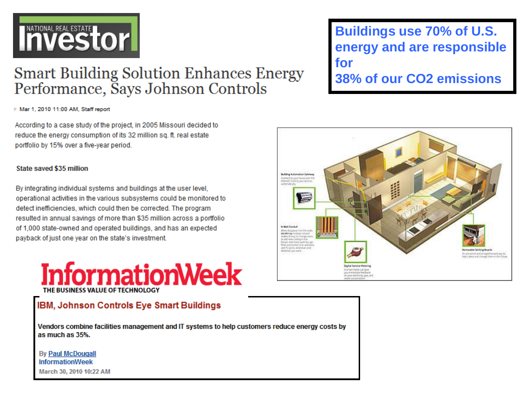# Investor **International Real Estate**

#### **Smart Building Solution Enhances Energy** Performance, Says Johnson Controls

Mar 1, 2010 11:00 AM, Staff report

According to a case study of the project, in 2005 Missouri decided to reduce the energy consumption of its 32 million sq. ft. real estate portfolio by 15% over a five-year period.

#### State saved \$35 million

By integrating individual systems and buildings at the user level. operational activities in the various subsystems could be monitored to detect inefficiencies, which could then be corrected. The program resulted in annual savings of more than \$35 million across a portfolio of 1,000 state-owned and operated buildings, and has an expected payback of just one year on the state's investment.



#### IBM, Johnson Controls Eye Smart Buildings

Vendors combine facilities management and IT systems to help customers reduce energy costs by as much as 35%.

**By Paul McDougall InformationWeek** March 30, 2010 10:22 AM **Buildings use 70% of U.S. energy and are responsible for 38% of our CO2 emissions**

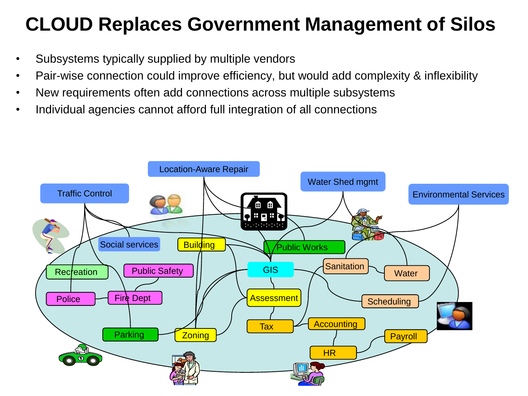### **CLOUD Replaces Government Management of Silos**

- Subsystems typically supplied by multiple vendors
- Pair-wise connection could improve efficiency, but would add complexity & inflexibility
- New requirements often add connections across multiple subsystems
- Individual agencies cannot afford full integration of all connections

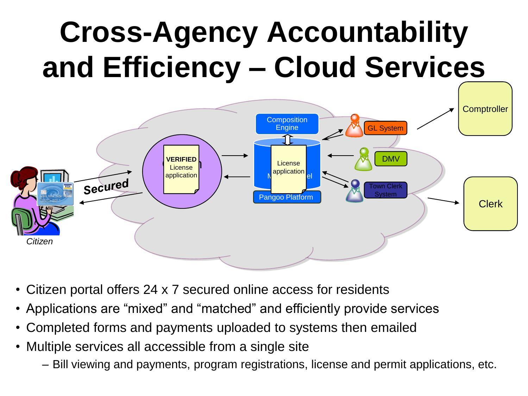# **Cross-Agency Accountability and Efficiency – Cloud Services**



- Citizen portal offers 24 x 7 secured online access for residents
- Applications are "mixed" and "matched" and efficiently provide services
- Completed forms and payments uploaded to systems then emailed
- Multiple services all accessible from a single site
	- Bill viewing and payments, program registrations, license and permit applications, etc.